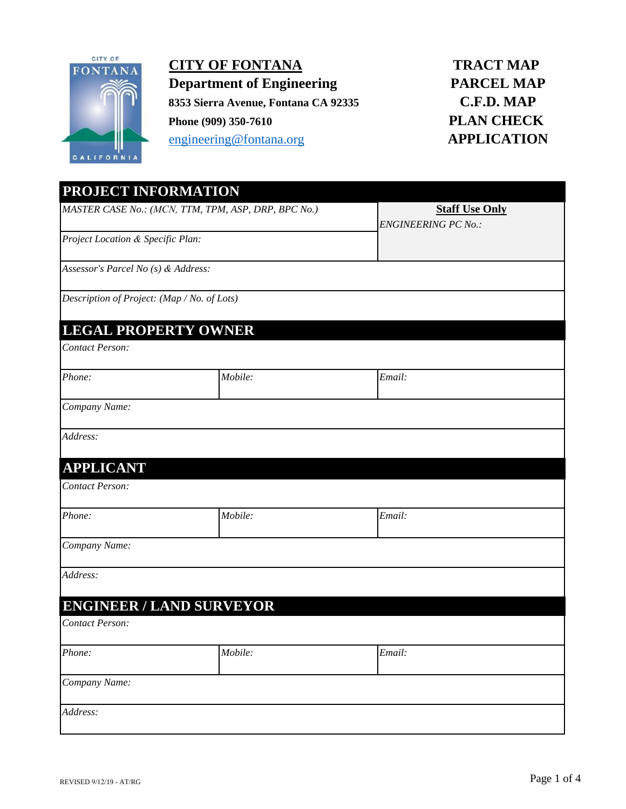

**CITY OF FONTANA Department of Engineering 8353 Sierra Avenue, Fontana CA 92335 Phone (909) 350-7610** engineering@fontana.org

## **TRACT MAP PARCEL MAP C.F.D. MAP PLAN CHECK APPLICATION**

| PROJECT INFORMATION                                 |                                 |                            |  |
|-----------------------------------------------------|---------------------------------|----------------------------|--|
| MASTER CASE No.: (MCN, TTM, TPM, ASP, DRP, BPC No.) |                                 | <b>Staff Use Only</b>      |  |
| Project Location & Specific Plan:                   |                                 | <b>ENGINEERING PC No.:</b> |  |
| Assessor's Parcel No (s) & Address:                 |                                 |                            |  |
| Description of Project: (Map / No. of Lots)         |                                 |                            |  |
| <b>LEGAL PROPERTY OWNER</b>                         |                                 |                            |  |
| Contact Person:                                     |                                 |                            |  |
| Phone:                                              | Mobile:                         | Email:                     |  |
| Company Name:                                       |                                 |                            |  |
| Address:                                            |                                 |                            |  |
| <b>APPLICANT</b>                                    |                                 |                            |  |
| Contact Person:                                     |                                 |                            |  |
| Phone:                                              | Mobile:                         | Email:                     |  |
| Company Name:                                       |                                 |                            |  |
| Address:                                            |                                 |                            |  |
|                                                     | <b>ENGINEER / LAND SURVEYOR</b> |                            |  |
| Contact Person:                                     |                                 |                            |  |
| Phone:                                              | Mobile:                         | Email:                     |  |
| Company Name:                                       |                                 |                            |  |
| Address:                                            |                                 |                            |  |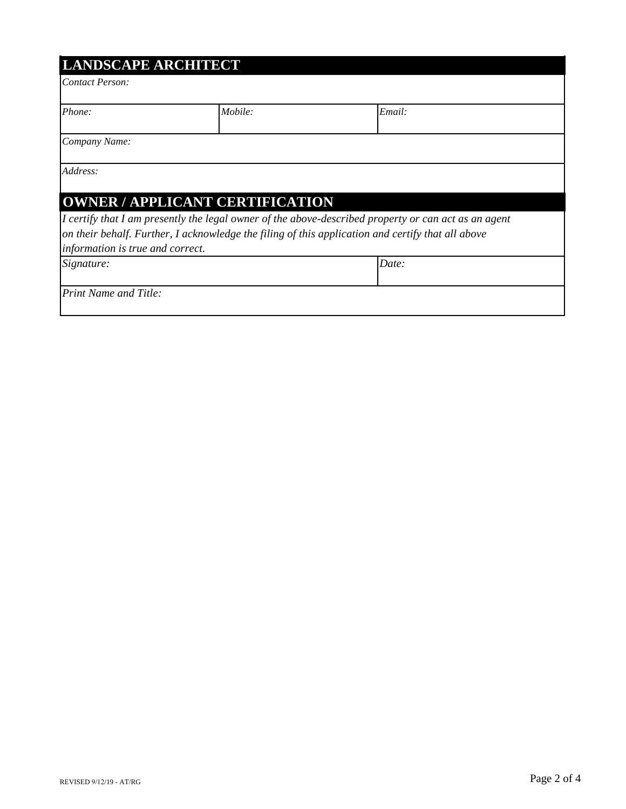| <b>LANDSCAPE ARCHITECT</b> |  |
|----------------------------|--|
|                            |  |

*Contact Person:*

| Phone: | Mobile: | $\cdot$ $\cdot$<br>┳<br>mail: |
|--------|---------|-------------------------------|
|        |         |                               |

*Company Name:*

*Address:*

# **OWNER / APPLICANT CERTIFICATION**

*information is true and correct. I certify that I am presently the legal owner of the above-described property or can act as an agent on their behalf. Further, I acknowledge the filing of this application and certify that all above* 

*Date:*

*Signature:*

*Print Name and Title:*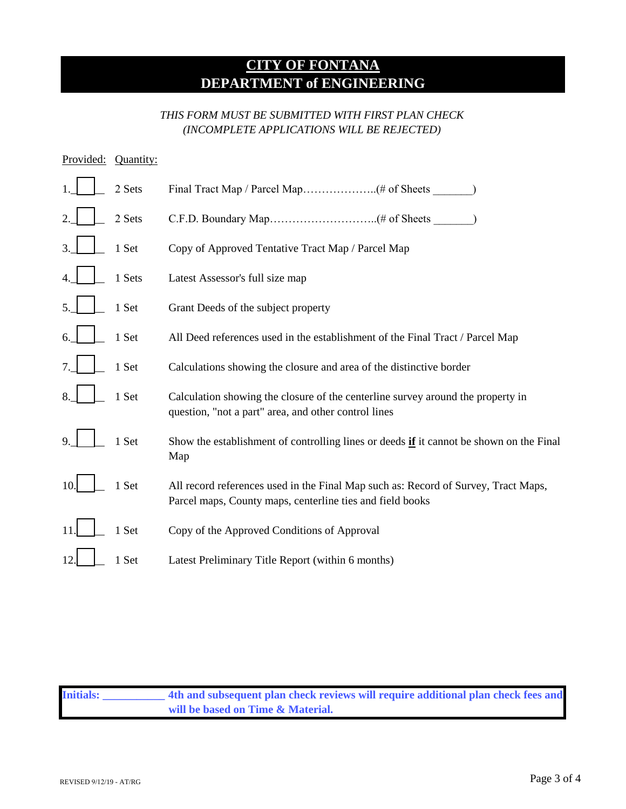## **CITY OF FONTANA DEPARTMENT of ENGINEERING**

#### *THIS FORM MUST BE SUBMITTED WITH FIRST PLAN CHECK (INCOMPLETE APPLICATIONS WILL BE REJECTED)*

| Provided: | Quantity: |                                                                                                                                                 |
|-----------|-----------|-------------------------------------------------------------------------------------------------------------------------------------------------|
|           | 2 Sets    |                                                                                                                                                 |
|           | 2 Sets    |                                                                                                                                                 |
|           | 1 Set     | Copy of Approved Tentative Tract Map / Parcel Map                                                                                               |
|           | 1 Sets    | Latest Assessor's full size map                                                                                                                 |
|           | 1 Set     | Grant Deeds of the subject property                                                                                                             |
|           | 1 Set     | All Deed references used in the establishment of the Final Tract / Parcel Map                                                                   |
|           | 1 Set     | Calculations showing the closure and area of the distinctive border                                                                             |
|           | 1 Set     | Calculation showing the closure of the centerline survey around the property in<br>question, "not a part" area, and other control lines         |
|           | 1 Set     | Show the establishment of controlling lines or deeds if it cannot be shown on the Final<br>Map                                                  |
| 10.       | 1 Set     | All record references used in the Final Map such as: Record of Survey, Tract Maps,<br>Parcel maps, County maps, centerline ties and field books |
|           | 1 Set     | Copy of the Approved Conditions of Approval                                                                                                     |
|           | 1 Set     | Latest Preliminary Title Report (within 6 months)                                                                                               |

**Initials: \_\_\_\_\_\_\_\_\_\_\_ 4th and subsequent plan check reviews will require additional plan check fees and will be based on Time & Material.**